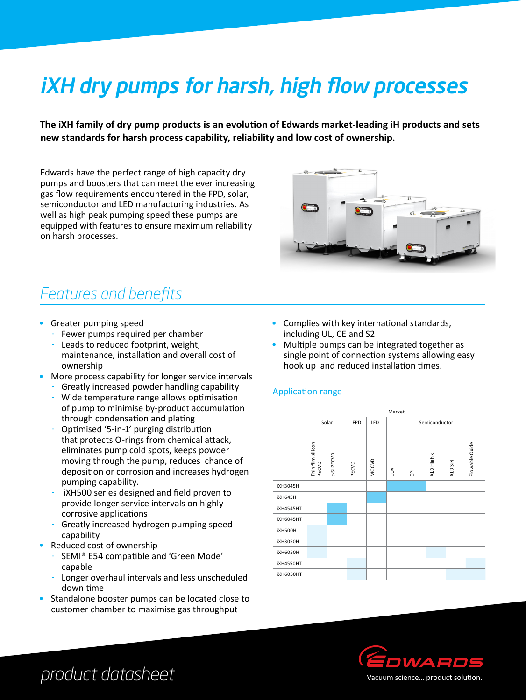# iXH dry pumps for harsh, high flow processes

**The iXH family of dry pump products is an evolution of Edwards market-leading iH products and sets new standards for harsh process capability, reliability and low cost of ownership.**

Edwards have the perfect range of high capacity dry pumps and boosters that can meet the ever increasing gas flow requirements encountered in the FPD, solar, semiconductor and LED manufacturing industries. As well as high peak pumping speed these pumps are equipped with features to ensure maximum reliability on harsh processes.

# *Features and benefits*

- Greater pumping speed
	- Fewer pumps required per chamber
	- Leads to reduced footprint, weight, maintenance, installation and overall cost of ownership
- More process capability for longer service intervals
- Greatly increased powder handling capability
- Wide temperature range allows optimisation of pump to minimise by-product accumulation through condensation and plating
- Optimised '5-in-1' purging distribution that protects O-rings from chemical attack, eliminates pump cold spots, keeps powder moving through the pump, reduces chance of deposition or corrosion and increases hydrogen pumping capability.
- iXH500 series designed and field proven to provide longer service intervals on highly corrosive applications
- Greatly increased hydrogen pumping speed capability
- Reduced cost of ownership
	- SEMI® E54 compatible and 'Green Mode' capable
	- Longer overhaul intervals and less unscheduled down time
- Standalone booster pumps can be located close to customer chamber to maximise gas throughput
- Complies with key international standards, including UL, CE and S2
- Multiple pumps can be integrated together as single point of connection systems allowing easy hook up and reduced installation times.

### Application range





# *product datasheet*